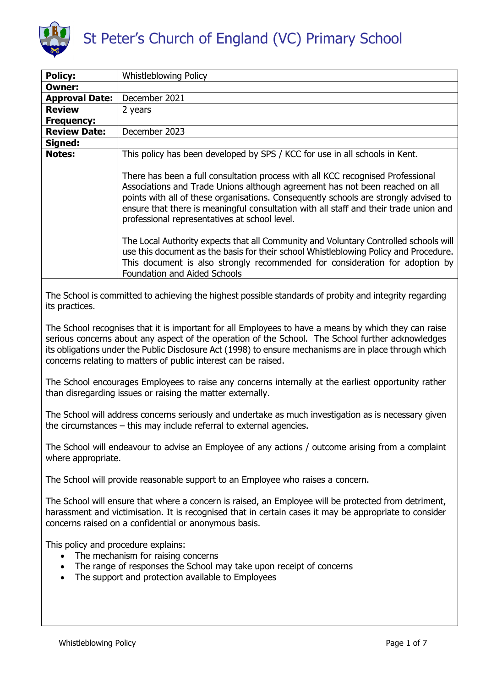

# St Peter's Church of England (VC) Primary School

| <b>Policy:</b>                                                                                                                                                                                                                                                                                                                                                                        | <b>Whistleblowing Policy</b>                                                                                                                                                                                                                                                                                                                                                                      |  |  |  |
|---------------------------------------------------------------------------------------------------------------------------------------------------------------------------------------------------------------------------------------------------------------------------------------------------------------------------------------------------------------------------------------|---------------------------------------------------------------------------------------------------------------------------------------------------------------------------------------------------------------------------------------------------------------------------------------------------------------------------------------------------------------------------------------------------|--|--|--|
| <b>Owner:</b>                                                                                                                                                                                                                                                                                                                                                                         |                                                                                                                                                                                                                                                                                                                                                                                                   |  |  |  |
| <b>Approval Date:</b>                                                                                                                                                                                                                                                                                                                                                                 | December 2021                                                                                                                                                                                                                                                                                                                                                                                     |  |  |  |
| <b>Review</b>                                                                                                                                                                                                                                                                                                                                                                         | 2 years                                                                                                                                                                                                                                                                                                                                                                                           |  |  |  |
| <b>Frequency:</b>                                                                                                                                                                                                                                                                                                                                                                     |                                                                                                                                                                                                                                                                                                                                                                                                   |  |  |  |
| <b>Review Date:</b>                                                                                                                                                                                                                                                                                                                                                                   | December 2023                                                                                                                                                                                                                                                                                                                                                                                     |  |  |  |
| Signed:                                                                                                                                                                                                                                                                                                                                                                               |                                                                                                                                                                                                                                                                                                                                                                                                   |  |  |  |
| <b>Notes:</b>                                                                                                                                                                                                                                                                                                                                                                         | This policy has been developed by SPS / KCC for use in all schools in Kent.                                                                                                                                                                                                                                                                                                                       |  |  |  |
|                                                                                                                                                                                                                                                                                                                                                                                       | There has been a full consultation process with all KCC recognised Professional<br>Associations and Trade Unions although agreement has not been reached on all<br>points with all of these organisations. Consequently schools are strongly advised to<br>ensure that there is meaningful consultation with all staff and their trade union and<br>professional representatives at school level. |  |  |  |
|                                                                                                                                                                                                                                                                                                                                                                                       | The Local Authority expects that all Community and Voluntary Controlled schools will<br>use this document as the basis for their school Whistleblowing Policy and Procedure.<br>This document is also strongly recommended for consideration for adoption by<br><b>Foundation and Aided Schools</b>                                                                                               |  |  |  |
| The School is committed to achieving the highest possible standards of probity and integrity regarding<br>its practices.                                                                                                                                                                                                                                                              |                                                                                                                                                                                                                                                                                                                                                                                                   |  |  |  |
| The School recognises that it is important for all Employees to have a means by which they can raise<br>serious concerns about any aspect of the operation of the School. The School further acknowledges<br>its obligations under the Public Disclosure Act (1998) to ensure mechanisms are in place through which<br>concerns relating to matters of public interest can be raised. |                                                                                                                                                                                                                                                                                                                                                                                                   |  |  |  |
| The School encourages Employees to raise any concerns internally at the earliest opportunity rather<br>than disregarding issues or raising the matter externally.                                                                                                                                                                                                                     |                                                                                                                                                                                                                                                                                                                                                                                                   |  |  |  |
| The School will address concerns seriously and undertake as much investigation as is necessary given<br>the circumstances $-$ this may include referral to external agencies.                                                                                                                                                                                                         |                                                                                                                                                                                                                                                                                                                                                                                                   |  |  |  |
| The School will endeavour to advise an Employee of any actions / outcome arising from a complaint<br>where appropriate.                                                                                                                                                                                                                                                               |                                                                                                                                                                                                                                                                                                                                                                                                   |  |  |  |
| The School will provide reasonable support to an Employee who raises a concern.                                                                                                                                                                                                                                                                                                       |                                                                                                                                                                                                                                                                                                                                                                                                   |  |  |  |
| The School will ensure that where a concern is raised, an Employee will be protected from detriment,<br>harassment and victimisation. It is recognised that in certain cases it may be appropriate to consider<br>concerns raised on a confidential or anonymous basis.                                                                                                               |                                                                                                                                                                                                                                                                                                                                                                                                   |  |  |  |
| This policy and procedure explains:<br>The mechanism for raising concerns<br>The range of responses the School may take upon receipt of concerns<br>$\bullet$<br>The support and protection available to Employees<br>$\bullet$                                                                                                                                                       |                                                                                                                                                                                                                                                                                                                                                                                                   |  |  |  |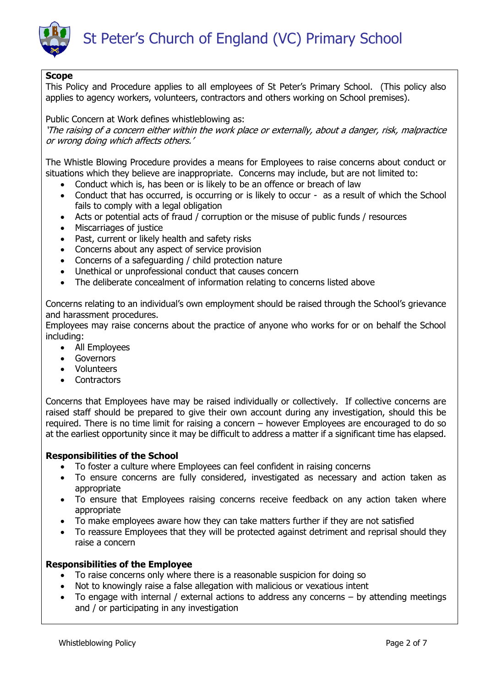

# **Scope**

This Policy and Procedure applies to all employees of St Peter's Primary School. (This policy also applies to agency workers, volunteers, contractors and others working on School premises).

Public Concern at Work defines whistleblowing as: 'The raising of a concern either within the work place or externally, about a danger, risk, malpractice or wrong doing which affects others.'

The Whistle Blowing Procedure provides a means for Employees to raise concerns about conduct or situations which they believe are inappropriate. Concerns may include, but are not limited to:

- Conduct which is, has been or is likely to be an offence or breach of law
- Conduct that has occurred, is occurring or is likely to occur as a result of which the School fails to comply with a legal obligation
- Acts or potential acts of fraud / corruption or the misuse of public funds / resources
- Miscarriages of justice
- Past, current or likely health and safety risks
- Concerns about any aspect of service provision
- Concerns of a safeguarding / child protection nature
- Unethical or unprofessional conduct that causes concern
- The deliberate concealment of information relating to concerns listed above

Concerns relating to an individual's own employment should be raised through the School's grievance and harassment procedures.

Employees may raise concerns about the practice of anyone who works for or on behalf the School including:

- All Employees
- Governors
- Volunteers
- Contractors

Concerns that Employees have may be raised individually or collectively. If collective concerns are raised staff should be prepared to give their own account during any investigation, should this be required. There is no time limit for raising a concern – however Employees are encouraged to do so at the earliest opportunity since it may be difficult to address a matter if a significant time has elapsed.

# **Responsibilities of the School**

- To foster a culture where Employees can feel confident in raising concerns
- To ensure concerns are fully considered, investigated as necessary and action taken as appropriate
- To ensure that Employees raising concerns receive feedback on any action taken where appropriate
- To make employees aware how they can take matters further if they are not satisfied
- To reassure Employees that they will be protected against detriment and reprisal should they raise a concern

# **Responsibilities of the Employee**

- To raise concerns only where there is a reasonable suspicion for doing so
- Not to knowingly raise a false allegation with malicious or vexatious intent
- To engage with internal / external actions to address any concerns by attending meetings and / or participating in any investigation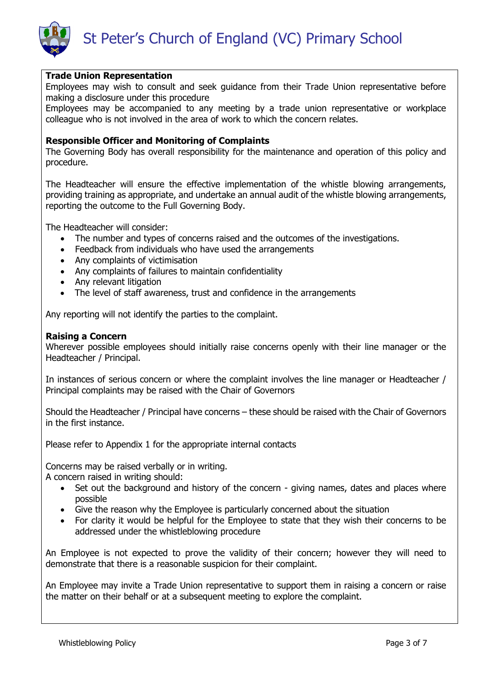



## **Trade Union Representation**

Employees may wish to consult and seek guidance from their Trade Union representative before making a disclosure under this procedure

Employees may be accompanied to any meeting by a trade union representative or workplace colleague who is not involved in the area of work to which the concern relates.

## **Responsible Officer and Monitoring of Complaints**

The Governing Body has overall responsibility for the maintenance and operation of this policy and procedure.

The Headteacher will ensure the effective implementation of the whistle blowing arrangements, providing training as appropriate, and undertake an annual audit of the whistle blowing arrangements, reporting the outcome to the Full Governing Body.

The Headteacher will consider:

- The number and types of concerns raised and the outcomes of the investigations.
- Feedback from individuals who have used the arrangements
- Any complaints of victimisation
- Any complaints of failures to maintain confidentiality
- Any relevant litigation
- The level of staff awareness, trust and confidence in the arrangements

Any reporting will not identify the parties to the complaint.

#### **Raising a Concern**

Wherever possible employees should initially raise concerns openly with their line manager or the Headteacher / Principal.

In instances of serious concern or where the complaint involves the line manager or Headteacher / Principal complaints may be raised with the Chair of Governors

Should the Headteacher / Principal have concerns – these should be raised with the Chair of Governors in the first instance.

Please refer to Appendix 1 for the appropriate internal contacts

Concerns may be raised verbally or in writing.

A concern raised in writing should:

- Set out the background and history of the concern giving names, dates and places where possible
- Give the reason why the Employee is particularly concerned about the situation
- For clarity it would be helpful for the Employee to state that they wish their concerns to be addressed under the whistleblowing procedure

An Employee is not expected to prove the validity of their concern; however they will need to demonstrate that there is a reasonable suspicion for their complaint.

An Employee may invite a Trade Union representative to support them in raising a concern or raise the matter on their behalf or at a subsequent meeting to explore the complaint.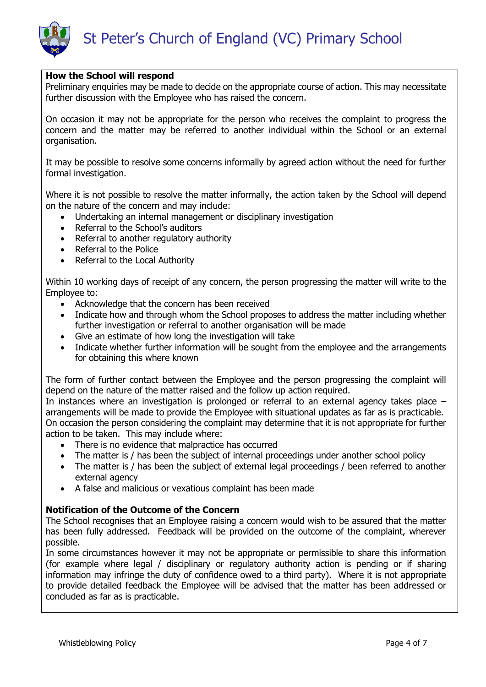St Peter's Church of England (VC) Primary School

## **How the School will respond**

Preliminary enquiries may be made to decide on the appropriate course of action. This may necessitate further discussion with the Employee who has raised the concern.

On occasion it may not be appropriate for the person who receives the complaint to progress the concern and the matter may be referred to another individual within the School or an external organisation.

It may be possible to resolve some concerns informally by agreed action without the need for further formal investigation.

Where it is not possible to resolve the matter informally, the action taken by the School will depend on the nature of the concern and may include:

- Undertaking an internal management or disciplinary investigation
- Referral to the School's auditors
- Referral to another regulatory authority
- Referral to the Police
- Referral to the Local Authority

Within 10 working days of receipt of any concern, the person progressing the matter will write to the Employee to:

- Acknowledge that the concern has been received
- Indicate how and through whom the School proposes to address the matter including whether further investigation or referral to another organisation will be made
- Give an estimate of how long the investigation will take
- Indicate whether further information will be sought from the employee and the arrangements for obtaining this where known

The form of further contact between the Employee and the person progressing the complaint will depend on the nature of the matter raised and the follow up action required.

In instances where an investigation is prolonged or referral to an external agency takes place – arrangements will be made to provide the Employee with situational updates as far as is practicable. On occasion the person considering the complaint may determine that it is not appropriate for further action to be taken. This may include where:

- There is no evidence that malpractice has occurred
- The matter is / has been the subject of internal proceedings under another school policy
- The matter is / has been the subject of external legal proceedings / been referred to another external agency
- A false and malicious or vexatious complaint has been made

#### **Notification of the Outcome of the Concern**

The School recognises that an Employee raising a concern would wish to be assured that the matter has been fully addressed. Feedback will be provided on the outcome of the complaint, wherever possible.

In some circumstances however it may not be appropriate or permissible to share this information (for example where legal / disciplinary or regulatory authority action is pending or if sharing information may infringe the duty of confidence owed to a third party). Where it is not appropriate to provide detailed feedback the Employee will be advised that the matter has been addressed or concluded as far as is practicable.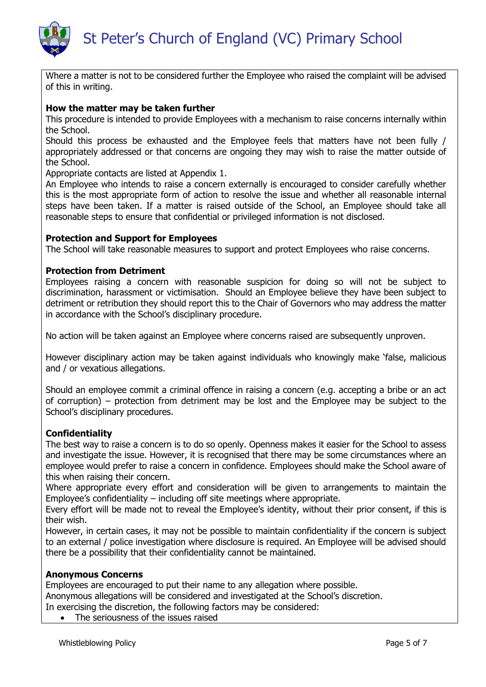

Where a matter is not to be considered further the Employee who raised the complaint will be advised of this in writing.

# **How the matter may be taken further**

This procedure is intended to provide Employees with a mechanism to raise concerns internally within the School.

Should this process be exhausted and the Employee feels that matters have not been fully / appropriately addressed or that concerns are ongoing they may wish to raise the matter outside of the School.

Appropriate contacts are listed at Appendix 1.

An Employee who intends to raise a concern externally is encouraged to consider carefully whether this is the most appropriate form of action to resolve the issue and whether all reasonable internal steps have been taken. If a matter is raised outside of the School, an Employee should take all reasonable steps to ensure that confidential or privileged information is not disclosed.

#### **Protection and Support for Employees**

The School will take reasonable measures to support and protect Employees who raise concerns.

## **Protection from Detriment**

Employees raising a concern with reasonable suspicion for doing so will not be subject to discrimination, harassment or victimisation. Should an Employee believe they have been subject to detriment or retribution they should report this to the Chair of Governors who may address the matter in accordance with the School's disciplinary procedure.

No action will be taken against an Employee where concerns raised are subsequently unproven.

However disciplinary action may be taken against individuals who knowingly make 'false, malicious and / or vexatious allegations.

Should an employee commit a criminal offence in raising a concern (e.g. accepting a bribe or an act of corruption) – protection from detriment may be lost and the Employee may be subject to the School's disciplinary procedures.

#### **Confidentiality**

The best way to raise a concern is to do so openly. Openness makes it easier for the School to assess and investigate the issue. However, it is recognised that there may be some circumstances where an employee would prefer to raise a concern in confidence. Employees should make the School aware of this when raising their concern.

Where appropriate every effort and consideration will be given to arrangements to maintain the Employee's confidentiality – including off site meetings where appropriate.

Every effort will be made not to reveal the Employee's identity, without their prior consent, if this is their wish.

However, in certain cases, it may not be possible to maintain confidentiality if the concern is subject to an external / police investigation where disclosure is required. An Employee will be advised should there be a possibility that their confidentiality cannot be maintained.

#### **Anonymous Concerns**

Employees are encouraged to put their name to any allegation where possible.

Anonymous allegations will be considered and investigated at the School's discretion.

In exercising the discretion, the following factors may be considered:

• The seriousness of the issues raised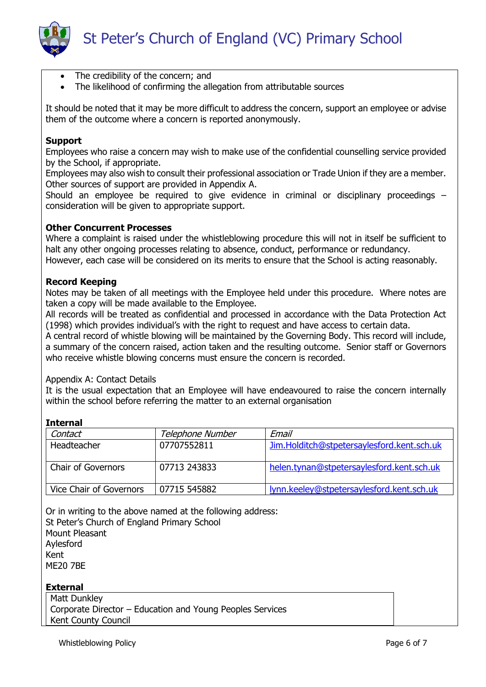

- The credibility of the concern; and
- The likelihood of confirming the allegation from attributable sources

It should be noted that it may be more difficult to address the concern, support an employee or advise them of the outcome where a concern is reported anonymously.

# **Support**

Employees who raise a concern may wish to make use of the confidential counselling service provided by the School, if appropriate.

Employees may also wish to consult their professional association or Trade Union if they are a member. Other sources of support are provided in Appendix A.

Should an employee be required to give evidence in criminal or disciplinary proceedings – consideration will be given to appropriate support.

## **Other Concurrent Processes**

Where a complaint is raised under the whistleblowing procedure this will not in itself be sufficient to halt any other ongoing processes relating to absence, conduct, performance or redundancy. However, each case will be considered on its merits to ensure that the School is acting reasonably.

# **Record Keeping**

Notes may be taken of all meetings with the Employee held under this procedure. Where notes are taken a copy will be made available to the Employee.

All records will be treated as confidential and processed in accordance with the Data Protection Act (1998) which provides individual's with the right to request and have access to certain data.

A central record of whistle blowing will be maintained by the Governing Body. This record will include, a summary of the concern raised, action taken and the resulting outcome. Senior staff or Governors who receive whistle blowing concerns must ensure the concern is recorded.

## Appendix A: Contact Details

It is the usual expectation that an Employee will have endeavoured to raise the concern internally within the school before referring the matter to an external organisation

| <b>Internal</b>           |                  |                                            |  |  |  |
|---------------------------|------------------|--------------------------------------------|--|--|--|
| Contact                   | Telephone Number | Email                                      |  |  |  |
| Headteacher               | 07707552811      | Jim.Holditch@stpetersaylesford.kent.sch.uk |  |  |  |
| <b>Chair of Governors</b> | 07713 243833     | helen.tynan@stpetersaylesford.kent.sch.uk  |  |  |  |
| Vice Chair of Governors   | 07715 545882     | lynn.keeley@stpetersaylesford.kent.sch.uk  |  |  |  |

Or in writing to the above named at the following address: St Peter's Church of England Primary School Mount Pleasant Aylesford Kent ME20 7BE

## **External**

Matt Dunkley Corporate Director – Education and Young Peoples Services Kent County Council